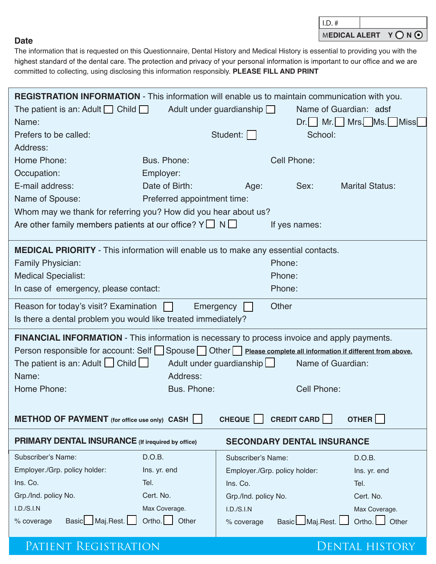| $ $ I.D. #    |      |
|---------------|------|
| MEDICAL ALERT | YONO |

## **Date**

The information that is requested on this Questionnaire, Dental History and Medical History is essential to providing you with the highest standard of the dental care. The protection and privacy of your personal information is important to our office and we are committed to collecting, using disclosing this information responsibly. **PLEASE FILL AND PRINT** 

| REGISTRATION INFORMATION - This information will enable us to maintain communication with you.             |                             |                                   |                        |                        |  |  |  |
|------------------------------------------------------------------------------------------------------------|-----------------------------|-----------------------------------|------------------------|------------------------|--|--|--|
| The patient is an: Adult $\Box$ Child $\Box$                                                               |                             | Adult under guardianship $\Box$   | Name of Guardian: adsf |                        |  |  |  |
| Name:                                                                                                      |                             |                                   |                        | Dr. Mr. Mrs. Ms. Miss  |  |  |  |
| Prefers to be called:                                                                                      | Student:                    | School:                           |                        |                        |  |  |  |
| Address:                                                                                                   |                             |                                   |                        |                        |  |  |  |
| Home Phone:                                                                                                | Bus. Phone:                 |                                   | Cell Phone:            |                        |  |  |  |
| Occupation:                                                                                                | Employer:                   |                                   |                        |                        |  |  |  |
| E-mail address:                                                                                            | Date of Birth:              | Age:                              | Sex:                   | <b>Marital Status:</b> |  |  |  |
| Name of Spouse:                                                                                            | Preferred appointment time: |                                   |                        |                        |  |  |  |
| Whom may we thank for referring you? How did you hear about us?                                            |                             |                                   |                        |                        |  |  |  |
| Are other family members patients at our office? $Y \cup N \cup$                                           |                             |                                   | If yes names:          |                        |  |  |  |
|                                                                                                            |                             |                                   |                        |                        |  |  |  |
| <b>MEDICAL PRIORITY</b> - This information will enable us to make any essential contacts.                  |                             |                                   |                        |                        |  |  |  |
| <b>Family Physician:</b>                                                                                   |                             | Phone:                            |                        |                        |  |  |  |
| <b>Medical Specialist:</b>                                                                                 |                             | Phone:                            |                        |                        |  |  |  |
| In case of emergency, please contact:                                                                      |                             | Phone:                            |                        |                        |  |  |  |
| Reason for today's visit? Examination                                                                      | Emergency                   | Other                             |                        |                        |  |  |  |
| Is there a dental problem you would like treated immediately?                                              |                             |                                   |                        |                        |  |  |  |
| FINANCIAL INFORMATION - This information is necessary to process invoice and apply payments.               |                             |                                   |                        |                        |  |  |  |
| Person responsible for account: Self Spouse Other Please complete all information if different from above. |                             |                                   |                        |                        |  |  |  |
| The patient is an: Adult $\Box$ Child $\Box$                                                               |                             | Adult under guardianship $\Box$   | Name of Guardian:      |                        |  |  |  |
| Name:                                                                                                      | Address:                    |                                   |                        |                        |  |  |  |
| Home Phone:                                                                                                | Bus. Phone:                 |                                   | Cell Phone:            |                        |  |  |  |
|                                                                                                            |                             |                                   |                        |                        |  |  |  |
| METHOD OF PAYMENT (for office use only) CASH                                                               |                             | CHEQUE                            | <b>CREDIT CARD</b>     | <b>OTHER</b>           |  |  |  |
| <b>PRIMARY DENTAL INSURANCE</b> (If irequired by office)                                                   |                             | <b>SECONDARY DENTAL INSURANCE</b> |                        |                        |  |  |  |
| Subscriber's Name:                                                                                         | D.O.B.                      | Subscriber's Name:                |                        | D.O.B.                 |  |  |  |
| Employer./Grp. policy holder:                                                                              | Ins. yr. end                | Employer./Grp. policy holder:     |                        | Ins. yr. end           |  |  |  |
| Ins. Co.                                                                                                   | Tel.                        | Ins. Co.                          |                        | Tel.                   |  |  |  |
| Grp./Ind. policy No.                                                                                       | Cert. No.                   | Grp./Ind. policy No.              |                        | Cert. No.              |  |  |  |
| I.D./S.I.N                                                                                                 | Max Coverage.               | I.D./S.I.N                        |                        | Max Coverage.          |  |  |  |
| Basic <b>Maj.Rest.</b><br>% coverage                                                                       | Ortho.<br>Other             | % coverage                        | Basic Maj.Rest.        | Ortho.<br>Other        |  |  |  |

Patient Registration Dental History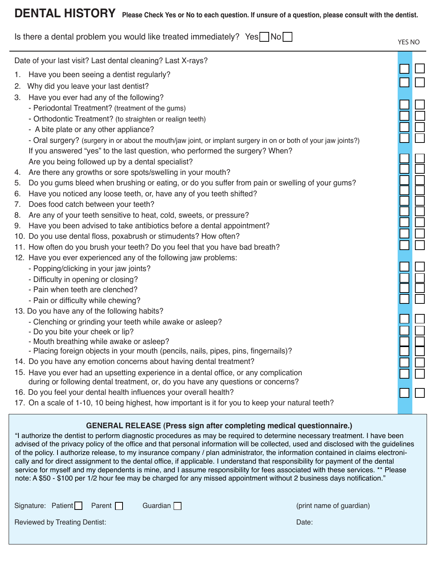|  | Is there a dental problem you would like treated immediately? Yes $\Box$ No $\Box$ |  |  |
|--|------------------------------------------------------------------------------------|--|--|
|--|------------------------------------------------------------------------------------|--|--|

**YES NO**

|                                  | Date of your last visit? Last dental cleaning? Last X-rays?                                                                                                |  |
|----------------------------------|------------------------------------------------------------------------------------------------------------------------------------------------------------|--|
| 1.                               | Have you been seeing a dentist regularly?                                                                                                                  |  |
| 2.                               | Why did you leave your last dentist?                                                                                                                       |  |
| З.                               | Have you ever had any of the following?                                                                                                                    |  |
|                                  | - Periodontal Treatment? (treatment of the gums)                                                                                                           |  |
|                                  | - Orthodontic Treatment? (to straighten or realign teeth)                                                                                                  |  |
|                                  | - A bite plate or any other appliance?                                                                                                                     |  |
|                                  | - Oral surgery? (surgery in or about the mouth/jaw joint, or implant surgery in on or both of your jaw joints?)                                            |  |
|                                  | If you answered "yes" to the last question, who performed the surgery? When?                                                                               |  |
|                                  | Are you being followed up by a dental specialist?                                                                                                          |  |
|                                  | 4. Are there any growths or sore spots/swelling in your mouth?                                                                                             |  |
| 5.                               | Do you gums bleed when brushing or eating, or do you suffer from pain or swelling of your gums?                                                            |  |
| 6.                               | Have you noticed any loose teeth, or, have any of you teeth shifted?                                                                                       |  |
| $7_{\scriptscriptstyle{\ddots}}$ | Does food catch between your teeth?                                                                                                                        |  |
| 8.                               | Are any of your teeth sensitive to heat, cold, sweets, or pressure?                                                                                        |  |
|                                  | 9. Have you been advised to take antibiotics before a dental appointment?                                                                                  |  |
|                                  | 10. Do you use dental floss, poxabrush or stimudents? How often?                                                                                           |  |
|                                  | 11. How often do you brush your teeth? Do you feel that you have bad breath?                                                                               |  |
|                                  | 12. Have you ever experienced any of the following jaw problems:                                                                                           |  |
|                                  | - Popping/clicking in your jaw joints?                                                                                                                     |  |
|                                  | - Difficulty in opening or closing?                                                                                                                        |  |
|                                  | - Pain when teeth are clenched?                                                                                                                            |  |
|                                  | - Pain or difficulty while chewing?                                                                                                                        |  |
|                                  | 13. Do you have any of the following habits?                                                                                                               |  |
|                                  | - Clenching or grinding your teeth while awake or asleep?                                                                                                  |  |
|                                  | - Do you bite your cheek or lip?                                                                                                                           |  |
|                                  | - Mouth breathing while awake or asleep?                                                                                                                   |  |
|                                  | - Placing foreign objects in your mouth (pencils, nails, pipes, pins, fingernails)?<br>14. Do you have any emotion concerns about having dental treatment? |  |
|                                  | 15. Have you ever had an upsetting experience in a dental office, or any complication                                                                      |  |
|                                  | during or following dental treatment, or, do you have any questions or concerns?                                                                           |  |
|                                  | 16. Do you feel your dental health influences your overall health?                                                                                         |  |
|                                  | 17. On a scale of 1-10, 10 being highest, how important is it for you to keep your natural teeth?                                                          |  |
|                                  |                                                                                                                                                            |  |

## **GENERAL RELEASE (Press sign after completing medical questionnaire.)**

"I authorize the dentist to perform diagnostic procedures as may be required to determine necessary treatment. I have been advised of the privacy policy of the office and that personal information will be collected, used and disclosed with the guidelines of the policy. I authorize release, to my insurance company / plan administrator, the information contained in claims electronically and for direct assignment to the dental office, if applicable. I understand that responsibility for payment of the dental service for myself and my dependents is mine, and I assume responsibility for fees associated with these services. \*\* Please note: A \$50 - \$100 per 1/2 hour fee may be charged for any missed appointment without 2 business days notification."

Signature: Patient Parent Parent Guardian Guardian Current Current Current Current Current Current Current Curr

**Reviewed by Treating Dentist:**  $\blacksquare$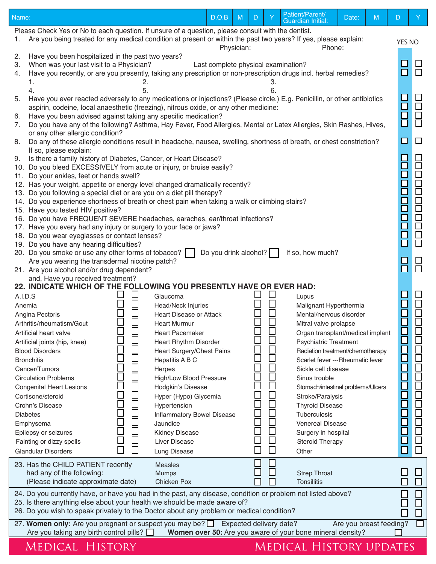| Are you being treated for any medical condition at present or within the past two years? If yes, please explain:<br>1.<br>YES NO<br>Physician:<br>Phone:<br>Have you been hospitalized in the past two years?<br>When was your last visit to a Physician?<br>Last complete physical examination?<br>$\Box$<br>Have you recently, or are you presently, taking any prescription or non-prescription drugs incl. herbal remedies?<br>2.<br>1.<br>З.<br>5.<br>4.<br>6.<br>$\Box$<br>$\Box$<br>Have you ever reacted adversely to any medications or injections? (Please circle.) E.g. Penicillin, or other antibiotics<br>aspirin, codeine, local anaesthetic (freezing), nitrous oxide, or any other medicine:<br>$\overline{\mathsf{H}}$<br>$\boxminus$<br>Have you been advised against taking any specific medication?<br>Do you have any of the following? Asthma, Hay Fever, Food Allergies, Mental or Latex Allergies, Skin Rashes, Hives,<br>or any other allergic condition?<br>$\Box$<br>$\Box$<br>Do any of these allergic conditions result in headache, nausea, swelling, shortness of breath, or chest constriction?<br>If so, please explain:<br>Is there a family history of Diabetes, Cancer, or Heart Disease?<br>$\Box$<br>Do you bleed EXCESSIVELY from acute or injury, or bruise easily?<br>$\Box$<br>$\Box$<br>Do your ankles, feet or hands swell?<br>$\Box$<br>$\Box$<br>$\overline{\Box}$<br>$\overline{\Box}$<br>$\Box$<br>亘<br>$\Box$<br>88<br>89<br>$\bar{\Box}$<br>$\Box$<br>Ō<br>19. Do you have any hearing difficulties?<br>Do you drink alcohol?  <br>20. Do you smoke or use any other forms of tobacco?<br>If so, how much?<br>Are you wearing the transdermal nicotine patch?<br>Ħ<br>Ō<br>21. Are you alcohol and/or drug dependent?<br>and, Have you received treatment?<br>22. INDICATE WHICH OF THE FOLLOWING YOU PRESENTLY HAVE OR EVER HAD:<br>Glaucoma<br>Lupus<br>Head/Neck Injuries<br>Malignant Hyperthermia<br>Anemia<br>Heart Disease or Attack<br>Mental/nervous disorder<br>Arthritis/rheumatism/Gout<br><b>Heart Murmur</b><br>Mitral valve prolapse<br>8<br>0<br>$\Box$<br>Artificial heart valve<br><b>Heart Pacemaker</b><br>Organ transplant/medical implant<br>Ō<br>Ē<br><b>Psychiatric Treatment</b><br><b>Heart Rhythm Disorder</b><br>⊔<br>Radiation treatment/chemotherapy<br>Heart Surgery/Chest Pains<br>$\Box$<br>$\Box$<br>Hepatitis A B C<br>Scarlet fever ---Rheumatic fever<br>$\overline{\phantom{a}}$<br>$\overline{\phantom{a}}$<br>Sickle cell disease<br>Herpes<br>$\Box$<br>High/Low Blood Pressure<br>Sinus trouble<br>$\Box$<br>$\Box$<br>П<br>Hodgkin's Disease<br>Stomach/intestinal problems/Ulcers<br>E<br>$\Box$<br>Hyper (Hypo) Glycemia<br>Stroke/Paralysis<br>$\overline{\Box}$<br>$\Box$<br>Hypertension<br><b>Thyroid Disease</b><br>$\Box$<br>$\Box$<br>$\Box$<br>Inflammatory Bowel Disease<br>Tuberculosis<br><b>Diabetes</b><br>$\overline{\phantom{a}}$<br>$\Box$<br>Jaundice<br><b>Venereal Disease</b><br>$\Box$<br>$\Box$<br>Kidney Disease<br>Surgery in hospital<br>$\Box$<br>$\Box$<br>$\Box$<br>Liver Disease<br>Fainting or dizzy spells<br><b>Steroid Therapy</b><br>П<br>$\Box$<br>$\Box$<br>Lung Disease<br>Other<br><b>Measles</b><br>$\overline{\phantom{a}}$<br>had any of the following:<br><b>Mumps</b><br><b>Strep Throat</b><br>(Please indicate approximate date)<br>П<br>Chicken Pox<br><b>Tonsillitis</b><br>$\mathbf{I}$<br>27. Women only: Are you pregnant or suspect you may be? $\Box$ Expected delivery date?<br>Are you breast feeding? | Patient/Parent/<br>Ÿ<br>D.O.B<br>M<br>Name:<br>M<br>Date:<br>D<br>D<br><b>Guardian Initial:</b>                                                                                                                                                                                                                                                                                                                                                                                                                         |  |  |  |  |  | Y |  |  |  |
|-------------------------------------------------------------------------------------------------------------------------------------------------------------------------------------------------------------------------------------------------------------------------------------------------------------------------------------------------------------------------------------------------------------------------------------------------------------------------------------------------------------------------------------------------------------------------------------------------------------------------------------------------------------------------------------------------------------------------------------------------------------------------------------------------------------------------------------------------------------------------------------------------------------------------------------------------------------------------------------------------------------------------------------------------------------------------------------------------------------------------------------------------------------------------------------------------------------------------------------------------------------------------------------------------------------------------------------------------------------------------------------------------------------------------------------------------------------------------------------------------------------------------------------------------------------------------------------------------------------------------------------------------------------------------------------------------------------------------------------------------------------------------------------------------------------------------------------------------------------------------------------------------------------------------------------------------------------------------------------------------------------------------------------------------------------------------------------------------------------------------------------------------------------------------------------------------------------------------------------------------------------------------------------------------------------------------------------------------------------------------------------------------------------------------------------------------------------------------------------------------------------------------------------------------------------------------------------------------------------------------------------------------------------------------------------------------------------------------------------------------------------------------------------------------------------------------------------------------------------------------------------------------------------------------------------------------------------------------------------------------------------------------------------------------------------------------------------------------------------------------------------------------------------------------------------------------------------------------------------------------------------------------------------------------------------------------------------------------------------------------------------------------------------------------------------------------------------------------------------------------------------------------------------------------------------|-------------------------------------------------------------------------------------------------------------------------------------------------------------------------------------------------------------------------------------------------------------------------------------------------------------------------------------------------------------------------------------------------------------------------------------------------------------------------------------------------------------------------|--|--|--|--|--|---|--|--|--|
|                                                                                                                                                                                                                                                                                                                                                                                                                                                                                                                                                                                                                                                                                                                                                                                                                                                                                                                                                                                                                                                                                                                                                                                                                                                                                                                                                                                                                                                                                                                                                                                                                                                                                                                                                                                                                                                                                                                                                                                                                                                                                                                                                                                                                                                                                                                                                                                                                                                                                                                                                                                                                                                                                                                                                                                                                                                                                                                                                                                                                                                                                                                                                                                                                                                                                                                                                                                                                                                                                                                                                             | Please Check Yes or No to each question. If unsure of a question, please consult with the dentist.                                                                                                                                                                                                                                                                                                                                                                                                                      |  |  |  |  |  |   |  |  |  |
|                                                                                                                                                                                                                                                                                                                                                                                                                                                                                                                                                                                                                                                                                                                                                                                                                                                                                                                                                                                                                                                                                                                                                                                                                                                                                                                                                                                                                                                                                                                                                                                                                                                                                                                                                                                                                                                                                                                                                                                                                                                                                                                                                                                                                                                                                                                                                                                                                                                                                                                                                                                                                                                                                                                                                                                                                                                                                                                                                                                                                                                                                                                                                                                                                                                                                                                                                                                                                                                                                                                                                             | 2.<br>3.<br>4.                                                                                                                                                                                                                                                                                                                                                                                                                                                                                                          |  |  |  |  |  |   |  |  |  |
|                                                                                                                                                                                                                                                                                                                                                                                                                                                                                                                                                                                                                                                                                                                                                                                                                                                                                                                                                                                                                                                                                                                                                                                                                                                                                                                                                                                                                                                                                                                                                                                                                                                                                                                                                                                                                                                                                                                                                                                                                                                                                                                                                                                                                                                                                                                                                                                                                                                                                                                                                                                                                                                                                                                                                                                                                                                                                                                                                                                                                                                                                                                                                                                                                                                                                                                                                                                                                                                                                                                                                             | 5.<br>6.<br>7.                                                                                                                                                                                                                                                                                                                                                                                                                                                                                                          |  |  |  |  |  |   |  |  |  |
|                                                                                                                                                                                                                                                                                                                                                                                                                                                                                                                                                                                                                                                                                                                                                                                                                                                                                                                                                                                                                                                                                                                                                                                                                                                                                                                                                                                                                                                                                                                                                                                                                                                                                                                                                                                                                                                                                                                                                                                                                                                                                                                                                                                                                                                                                                                                                                                                                                                                                                                                                                                                                                                                                                                                                                                                                                                                                                                                                                                                                                                                                                                                                                                                                                                                                                                                                                                                                                                                                                                                                             | 8.                                                                                                                                                                                                                                                                                                                                                                                                                                                                                                                      |  |  |  |  |  |   |  |  |  |
|                                                                                                                                                                                                                                                                                                                                                                                                                                                                                                                                                                                                                                                                                                                                                                                                                                                                                                                                                                                                                                                                                                                                                                                                                                                                                                                                                                                                                                                                                                                                                                                                                                                                                                                                                                                                                                                                                                                                                                                                                                                                                                                                                                                                                                                                                                                                                                                                                                                                                                                                                                                                                                                                                                                                                                                                                                                                                                                                                                                                                                                                                                                                                                                                                                                                                                                                                                                                                                                                                                                                                             | 9.<br>10.<br>11.<br>12. Has your weight, appetite or energy level changed dramatically recently?<br>13. Do you following a special diet or are you on a diet pill therapy?<br>14. Do you experience shortness of breath or chest pain when taking a walk or climbing stairs?<br>15. Have you tested HIV positive?<br>16. Do you have FREQUENT SEVERE headaches, earaches, ear/throat infections?<br>17. Have you every had any injury or surgery to your face or jaws?<br>18. Do you wear eyeglasses or contact lenses? |  |  |  |  |  |   |  |  |  |
|                                                                                                                                                                                                                                                                                                                                                                                                                                                                                                                                                                                                                                                                                                                                                                                                                                                                                                                                                                                                                                                                                                                                                                                                                                                                                                                                                                                                                                                                                                                                                                                                                                                                                                                                                                                                                                                                                                                                                                                                                                                                                                                                                                                                                                                                                                                                                                                                                                                                                                                                                                                                                                                                                                                                                                                                                                                                                                                                                                                                                                                                                                                                                                                                                                                                                                                                                                                                                                                                                                                                                             |                                                                                                                                                                                                                                                                                                                                                                                                                                                                                                                         |  |  |  |  |  |   |  |  |  |
|                                                                                                                                                                                                                                                                                                                                                                                                                                                                                                                                                                                                                                                                                                                                                                                                                                                                                                                                                                                                                                                                                                                                                                                                                                                                                                                                                                                                                                                                                                                                                                                                                                                                                                                                                                                                                                                                                                                                                                                                                                                                                                                                                                                                                                                                                                                                                                                                                                                                                                                                                                                                                                                                                                                                                                                                                                                                                                                                                                                                                                                                                                                                                                                                                                                                                                                                                                                                                                                                                                                                                             | A.I.D.S<br>Angina Pectoris<br>Artificial joints (hip, knee)<br><b>Blood Disorders</b><br><b>Bronchitis</b><br>Cancer/Tumors<br><b>Circulation Problems</b><br><b>Congenital Heart Lesions</b><br>Cortisone/steroid<br>Crohn's Disease<br>Emphysema<br>Epilepsy or seizures<br><b>Glandular Disorders</b><br>23. Has the CHILD PATIENT recently                                                                                                                                                                          |  |  |  |  |  |   |  |  |  |
|                                                                                                                                                                                                                                                                                                                                                                                                                                                                                                                                                                                                                                                                                                                                                                                                                                                                                                                                                                                                                                                                                                                                                                                                                                                                                                                                                                                                                                                                                                                                                                                                                                                                                                                                                                                                                                                                                                                                                                                                                                                                                                                                                                                                                                                                                                                                                                                                                                                                                                                                                                                                                                                                                                                                                                                                                                                                                                                                                                                                                                                                                                                                                                                                                                                                                                                                                                                                                                                                                                                                                             |                                                                                                                                                                                                                                                                                                                                                                                                                                                                                                                         |  |  |  |  |  |   |  |  |  |
|                                                                                                                                                                                                                                                                                                                                                                                                                                                                                                                                                                                                                                                                                                                                                                                                                                                                                                                                                                                                                                                                                                                                                                                                                                                                                                                                                                                                                                                                                                                                                                                                                                                                                                                                                                                                                                                                                                                                                                                                                                                                                                                                                                                                                                                                                                                                                                                                                                                                                                                                                                                                                                                                                                                                                                                                                                                                                                                                                                                                                                                                                                                                                                                                                                                                                                                                                                                                                                                                                                                                                             | 24. Do you currently have, or have you had in the past, any disease, condition or problem not listed above?<br>25. Is there anything else about your health we should be made aware of?<br>26. Do you wish to speak privately to the Doctor about any problem or medical condition?                                                                                                                                                                                                                                     |  |  |  |  |  |   |  |  |  |
| Are you taking any birth control pills? <b>Nomen over 50:</b> Are you aware of your bone mineral density?<br>MEDICAL HISTORY<br><b>MEDICAL HISTORY UPDATES</b>                                                                                                                                                                                                                                                                                                                                                                                                                                                                                                                                                                                                                                                                                                                                                                                                                                                                                                                                                                                                                                                                                                                                                                                                                                                                                                                                                                                                                                                                                                                                                                                                                                                                                                                                                                                                                                                                                                                                                                                                                                                                                                                                                                                                                                                                                                                                                                                                                                                                                                                                                                                                                                                                                                                                                                                                                                                                                                                                                                                                                                                                                                                                                                                                                                                                                                                                                                                              |                                                                                                                                                                                                                                                                                                                                                                                                                                                                                                                         |  |  |  |  |  |   |  |  |  |